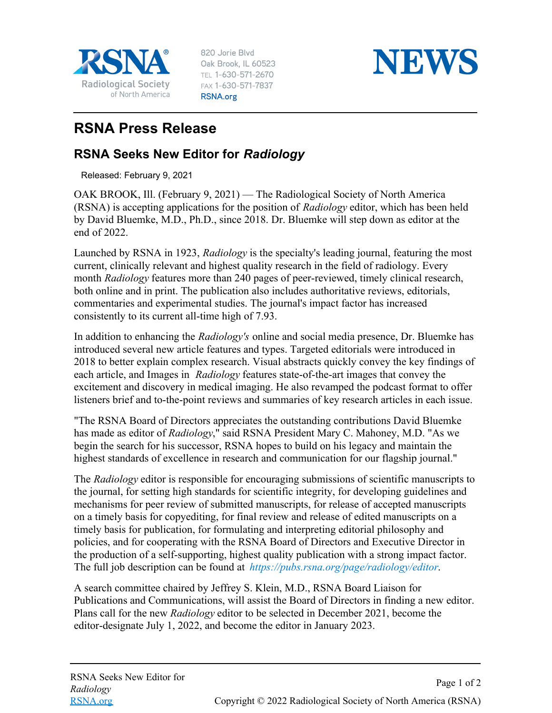

820 Jorie Blvd Oak Brook, IL 60523 TEL 1-630-571-2670 FAX 1-630-571-7837 RSNA.org



## **RSNA Press Release**

## **RSNA Seeks New Editor for** *Radiology*

Released: February 9, 2021

OAK BROOK, Ill. (February 9, 2021) — The Radiological Society of North America (RSNA) is accepting applications for the position of *Radiology* editor, which has been held by David Bluemke, M.D., Ph.D., since 2018. Dr. Bluemke will step down as editor at the end of 2022.

Launched by RSNA in 1923, *Radiology* is the specialty's leading journal, featuring the most current, clinically relevant and highest quality research in the field of radiology. Every month *Radiology* features more than 240 pages of peer-reviewed, timely clinical research, both online and in print. The publication also includes authoritative reviews, editorials, commentaries and experimental studies. The journal's impact factor has increased consistently to its current all-time high of 7.93.

In addition to enhancing the *Radiology's* online and social media presence, Dr. Bluemke has introduced several new article features and types. Targeted editorials were introduced in 2018 to better explain complex research. Visual abstracts quickly convey the key findings of each article, and Images in *Radiology* features state-of-the-art images that convey the excitement and discovery in medical imaging. He also revamped the podcast format to offer listeners brief and to-the-point reviews and summaries of key research articles in each issue.

"The RSNA Board of Directors appreciates the outstanding contributions David Bluemke has made as editor of *Radiology*," said RSNA President Mary C. Mahoney, M.D. "As we begin the search for his successor, RSNA hopes to build on his legacy and maintain the highest standards of excellence in research and communication for our flagship journal."

The *Radiology* editor is responsible for encouraging submissions of scientific manuscripts to the journal, for setting high standards for scientific integrity, for developing guidelines and mechanisms for peer review of submitted manuscripts, for release of accepted manuscripts on a timely basis for copyediting, for final review and release of edited manuscripts on a timely basis for publication, for formulating and interpreting editorial philosophy and policies, and for cooperating with the RSNA Board of Directors and Executive Director in the production of a self-supporting, highest quality publication with a strong impact factor. The full job description can be found at *<https://pubs.rsna.org/page/radiology/editor>*.

A search committee chaired by Jeffrey S. Klein, M.D., RSNA Board Liaison for Publications and Communications, will assist the Board of Directors in finding a new editor. Plans call for the new *Radiology* editor to be selected in December 2021, become the editor-designate July 1, 2022, and become the editor in January 2023.